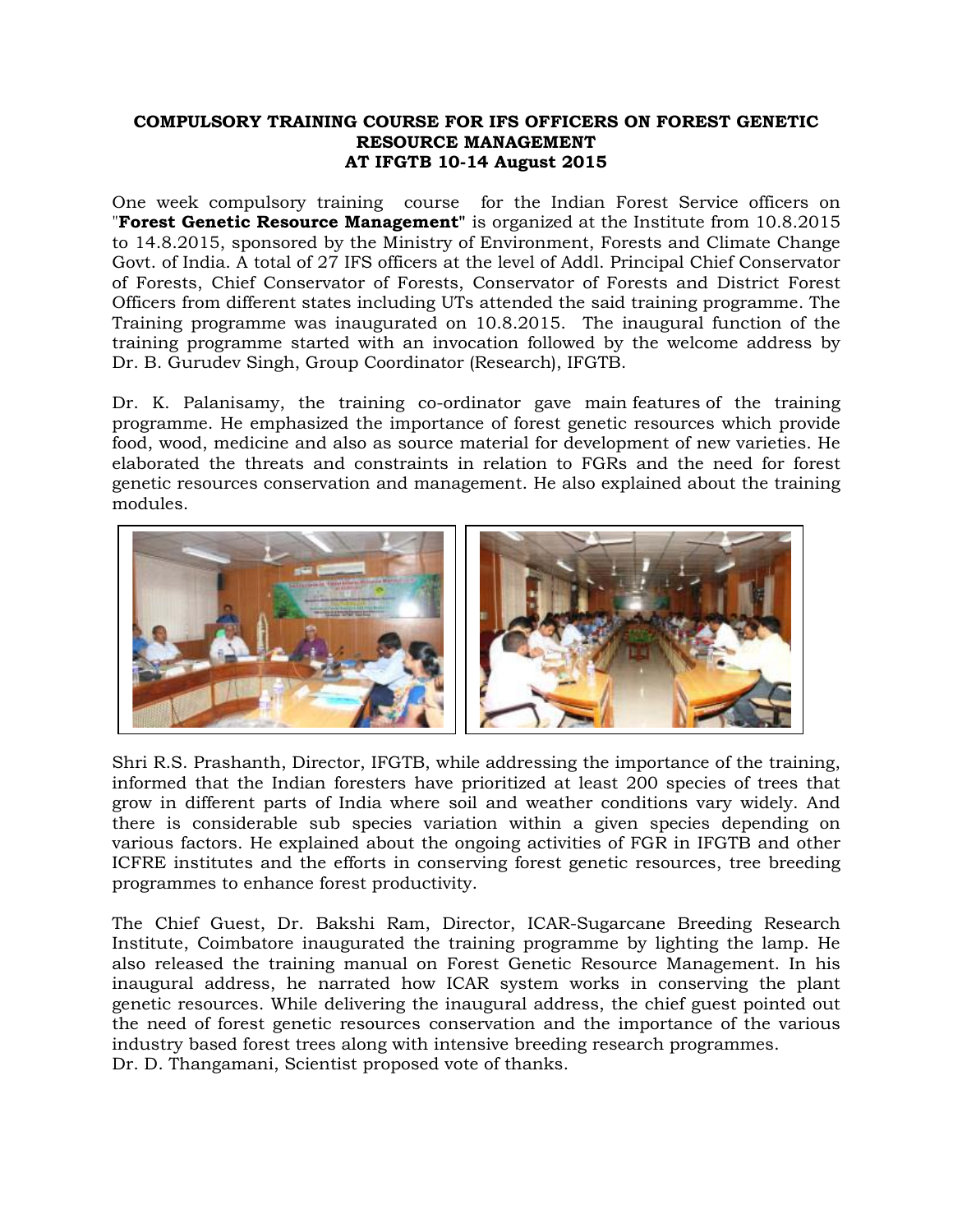## **COMPULSORY TRAINING COURSE FOR IFS OFFICERS ON FOREST GENETIC RESOURCE MANAGEMENT AT IFGTB 10-14 August 2015**

One week compulsory training course for the Indian Forest Service officers on "**Forest Genetic Resource Management"** is organized at the Institute from 10.8.2015 to 14.8.2015, sponsored by the Ministry of Environment, Forests and Climate Change Govt. of India. A total of 27 IFS officers at the level of Addl. Principal Chief Conservator of Forests, Chief Conservator of Forests, Conservator of Forests and District Forest Officers from different states including UTs attended the said training programme. The Training programme was inaugurated on 10.8.2015. The inaugural function of the training programme started with an invocation followed by the welcome address by Dr. B. Gurudev Singh, Group Coordinator (Research), IFGTB.

Dr. K. Palanisamy, the training co-ordinator gave [main](http://www.macmillandictionary.com/dictionary/british/main_1) [features](http://www.macmillandictionary.com/dictionary/british/feature_1) of the training programme. He emphasized the importance of forest genetic resources which provide food, wood, medicine and also as source material for development of new varieties. He elaborated the threats and constraints in relation to FGRs and the need for forest genetic resources conservation and management. He also explained about the training modules.



Shri R.S. Prashanth, Director, IFGTB, while addressing the importance of the training, informed that the Indian foresters have prioritized at least 200 species of trees that grow in different parts of India where soil and weather conditions vary widely. And there is considerable sub species variation within a given species depending on various factors. He explained about the ongoing activities of FGR in IFGTB and other ICFRE institutes and the efforts in conserving forest genetic resources, tree breeding programmes to enhance forest productivity.

The Chief Guest, Dr. Bakshi Ram, Director, ICAR-Sugarcane Breeding Research Institute, Coimbatore inaugurated the training programme by lighting the lamp. He also released the training manual on Forest Genetic Resource Management. In his inaugural address, he narrated how ICAR system works in conserving the plant genetic resources. While delivering the inaugural address, the chief guest pointed out the need of forest genetic resources conservation and the importance of the various industry based forest trees along with intensive breeding research programmes. Dr. D. Thangamani, Scientist proposed vote of thanks.